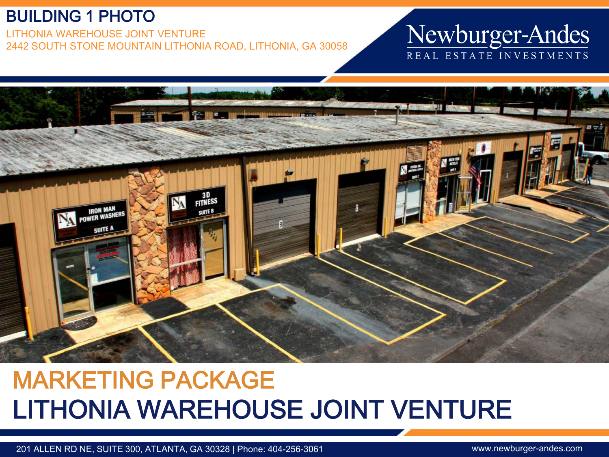#### BUILDING 1 PHOTO

LITHONIA WAREHOUSE JOINT VENTURE 2442 SOUTH STONE MOUNTAIN LITHONIA ROAD, LITHONIA, GA 30058

## Newburger-Andes REAL ESTATE INVESTMENTS



# MARKETING PACKAGE LITHONIA WAREHOUSE JOINT VENTURE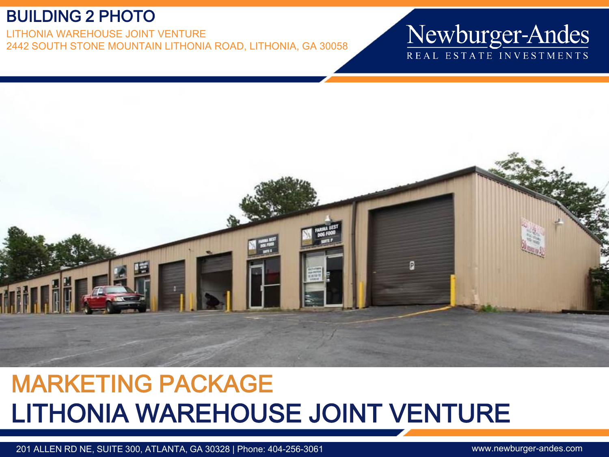#### BUILDING 2 PHOTO

LITHONIA WAREHOUSE JOINT VENTURE 2442 SOUTH STONE MOUNTAIN LITHONIA ROAD, LITHONIA, GA 30058

### Newburger-Andes REAL ESTATE INVESTMENTS



# MARKETING PACKAGE LITHONIA WAREHOUSE JOINT VENTURE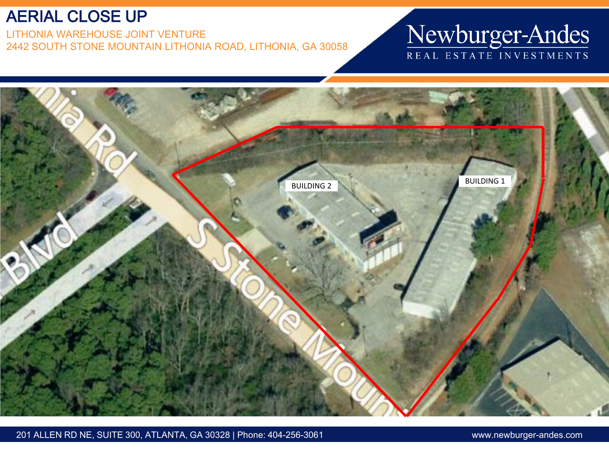#### AERIAL CLOSE UP

LITHONIA WAREHOUSE JOINT VENTURE 2442 SOUTH STONE MOUNTAIN LITHONIA ROAD, LITHONIA, GA 30058

# Newburger-Andes

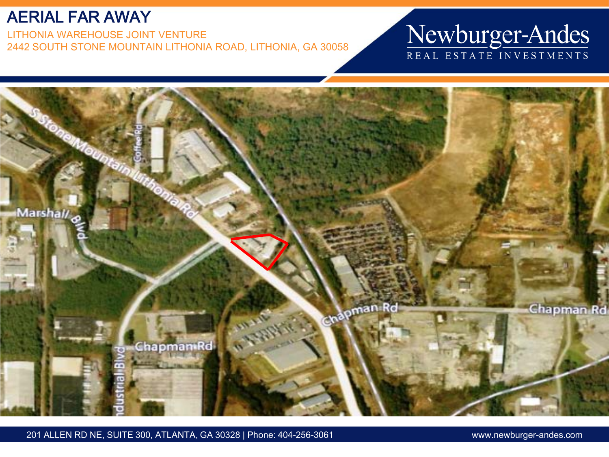#### AERIAL FAR AWAY

LITHONIA WAREHOUSE JOINT VENTURE 2442 SOUTH STONE MOUNTAIN LITHONIA ROAD, LITHONIA, GA 30058

## Newburger-Andes REAL ESTATE INVESTMENTS